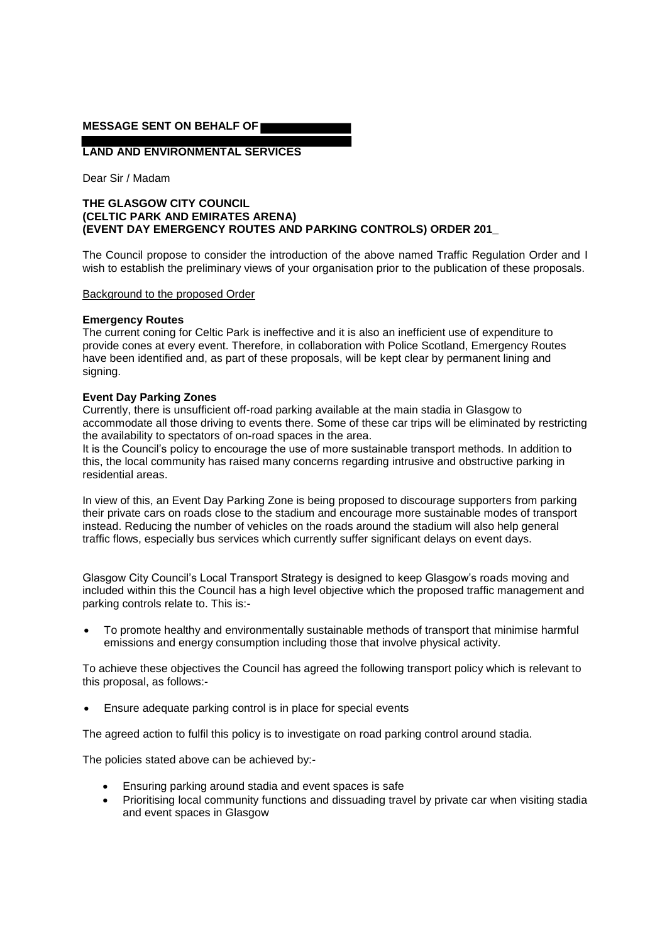# **MESSAGE SENT ON BEHALF OF**

**LAND AND ENVIRONMENTAL SERVICES** 

Dear Sir / Madam

# **THE GLASGOW CITY COUNCIL (CELTIC PARK AND EMIRATES ARENA) (EVENT DAY EMERGENCY ROUTES AND PARKING CONTROLS) ORDER 201\_**

The Council propose to consider the introduction of the above named Traffic Regulation Order and I wish to establish the preliminary views of your organisation prior to the publication of these proposals.

### Background to the proposed Order

## **Emergency Routes**

The current coning for Celtic Park is ineffective and it is also an inefficient use of expenditure to provide cones at every event. Therefore, in collaboration with Police Scotland, Emergency Routes have been identified and, as part of these proposals, will be kept clear by permanent lining and signing.

### **Event Day Parking Zones**

Currently, there is unsufficient off-road parking available at the main stadia in Glasgow to accommodate all those driving to events there. Some of these car trips will be eliminated by restricting the availability to spectators of on-road spaces in the area.

It is the Council's policy to encourage the use of more sustainable transport methods. In addition to this, the local community has raised many concerns regarding intrusive and obstructive parking in residential areas.

In view of this, an Event Day Parking Zone is being proposed to discourage supporters from parking their private cars on roads close to the stadium and encourage more sustainable modes of transport instead. Reducing the number of vehicles on the roads around the stadium will also help general traffic flows, especially bus services which currently suffer significant delays on event days.

Glasgow City Council's Local Transport Strategy is designed to keep Glasgow's roads moving and included within this the Council has a high level objective which the proposed traffic management and parking controls relate to. This is:-

 To promote healthy and environmentally sustainable methods of transport that minimise harmful emissions and energy consumption including those that involve physical activity.

To achieve these objectives the Council has agreed the following transport policy which is relevant to this proposal, as follows:-

Ensure adequate parking control is in place for special events

The agreed action to fulfil this policy is to investigate on road parking control around stadia.

The policies stated above can be achieved by:-

- Ensuring parking around stadia and event spaces is safe
- Prioritising local community functions and dissuading travel by private car when visiting stadia and event spaces in Glasgow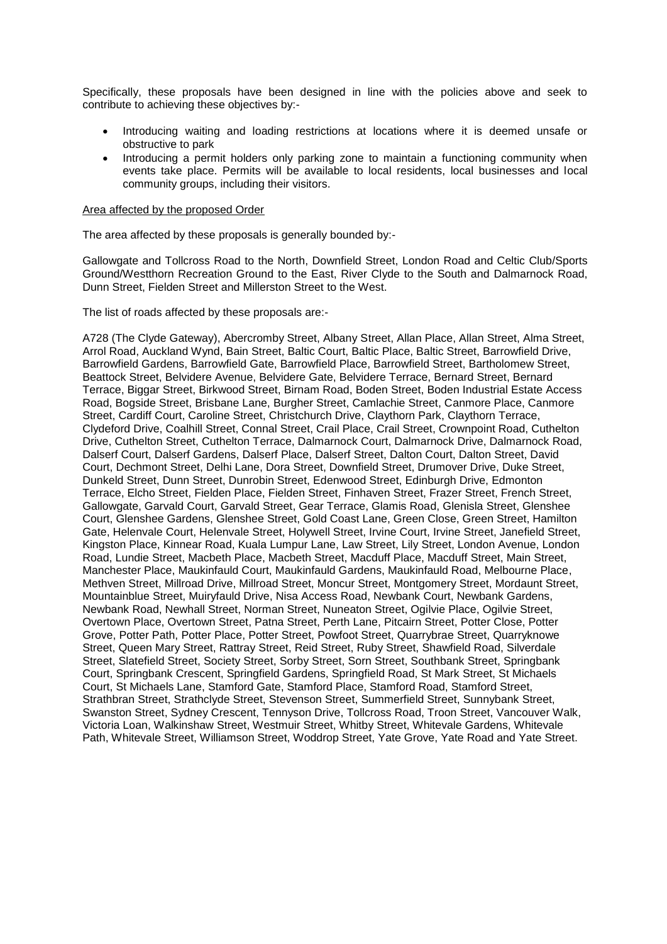Specifically, these proposals have been designed in line with the policies above and seek to contribute to achieving these objectives by:-

- Introducing waiting and loading restrictions at locations where it is deemed unsafe or obstructive to park
- Introducing a permit holders only parking zone to maintain a functioning community when events take place. Permits will be available to local residents, local businesses and local community groups, including their visitors.

### Area affected by the proposed Order

The area affected by these proposals is generally bounded by:-

Gallowgate and Tollcross Road to the North, Downfield Street, London Road and Celtic Club/Sports Ground/Westthorn Recreation Ground to the East, River Clyde to the South and Dalmarnock Road, Dunn Street, Fielden Street and Millerston Street to the West.

The list of roads affected by these proposals are:-

A728 (The Clyde Gateway), Abercromby Street, Albany Street, Allan Place, Allan Street, Alma Street, Arrol Road, Auckland Wynd, Bain Street, Baltic Court, Baltic Place, Baltic Street, Barrowfield Drive, Barrowfield Gardens, Barrowfield Gate, Barrowfield Place, Barrowfield Street, Bartholomew Street, Beattock Street, Belvidere Avenue, Belvidere Gate, Belvidere Terrace, Bernard Street, Bernard Terrace, Biggar Street, Birkwood Street, Birnam Road, Boden Street, Boden Industrial Estate Access Road, Bogside Street, Brisbane Lane, Burgher Street, Camlachie Street, Canmore Place, Canmore Street, Cardiff Court, Caroline Street, Christchurch Drive, Claythorn Park, Claythorn Terrace, Clydeford Drive, Coalhill Street, Connal Street, Crail Place, Crail Street, Crownpoint Road, Cuthelton Drive, Cuthelton Street, Cuthelton Terrace, Dalmarnock Court, Dalmarnock Drive, Dalmarnock Road, Dalserf Court, Dalserf Gardens, Dalserf Place, Dalserf Street, Dalton Court, Dalton Street, David Court, Dechmont Street, Delhi Lane, Dora Street, Downfield Street, Drumover Drive, Duke Street, Dunkeld Street, Dunn Street, Dunrobin Street, Edenwood Street, Edinburgh Drive, Edmonton Terrace, Elcho Street, Fielden Place, Fielden Street, Finhaven Street, Frazer Street, French Street, Gallowgate, Garvald Court, Garvald Street, Gear Terrace, Glamis Road, Glenisla Street, Glenshee Court, Glenshee Gardens, Glenshee Street, Gold Coast Lane, Green Close, Green Street, Hamilton Gate, Helenvale Court, Helenvale Street, Holywell Street, Irvine Court, Irvine Street, Janefield Street, Kingston Place, Kinnear Road, Kuala Lumpur Lane, Law Street, Lily Street, London Avenue, London Road, Lundie Street, Macbeth Place, Macbeth Street, Macduff Place, Macduff Street, Main Street, Manchester Place, Maukinfauld Court, Maukinfauld Gardens, Maukinfauld Road, Melbourne Place, Methven Street, Millroad Drive, Millroad Street, Moncur Street, Montgomery Street, Mordaunt Street, Mountainblue Street, Muiryfauld Drive, Nisa Access Road, Newbank Court, Newbank Gardens, Newbank Road, Newhall Street, Norman Street, Nuneaton Street, Ogilvie Place, Ogilvie Street, Overtown Place, Overtown Street, Patna Street, Perth Lane, Pitcairn Street, Potter Close, Potter Grove, Potter Path, Potter Place, Potter Street, Powfoot Street, Quarrybrae Street, Quarryknowe Street, Queen Mary Street, Rattray Street, Reid Street, Ruby Street, Shawfield Road, Silverdale Street, Slatefield Street, Society Street, Sorby Street, Sorn Street, Southbank Street, Springbank Court, Springbank Crescent, Springfield Gardens, Springfield Road, St Mark Street, St Michaels Court, St Michaels Lane, Stamford Gate, Stamford Place, Stamford Road, Stamford Street, Strathbran Street, Strathclyde Street, Stevenson Street, Summerfield Street, Sunnybank Street, Swanston Street, Sydney Crescent, Tennyson Drive, Tollcross Road, Troon Street, Vancouver Walk, Victoria Loan, Walkinshaw Street, Westmuir Street, Whitby Street, Whitevale Gardens, Whitevale Path, Whitevale Street, Williamson Street, Woddrop Street, Yate Grove, Yate Road and Yate Street.